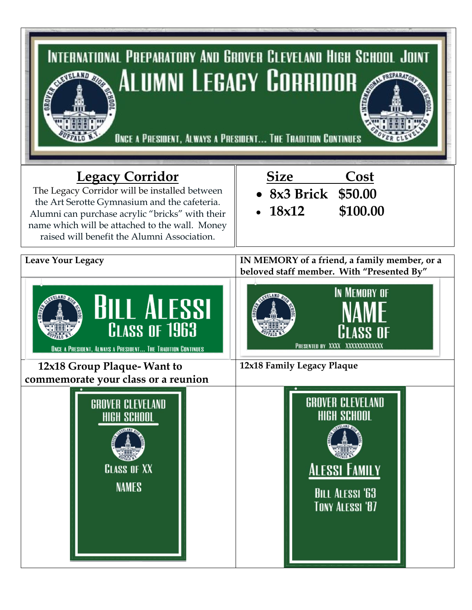